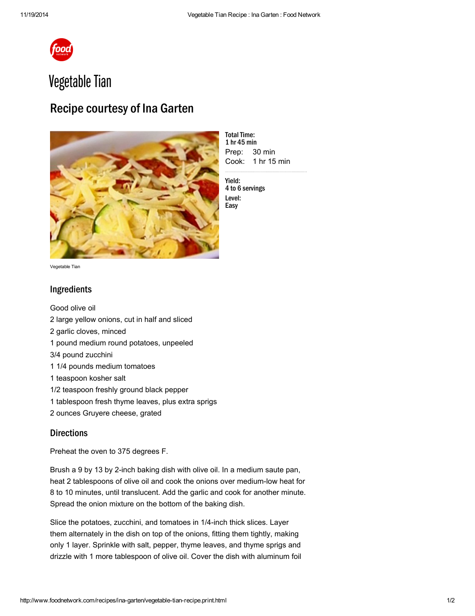

## Vegetable Tian

## Recipe courtesy of Ina Garten



Prep: Cook: 1 hr 15 min **Total Time:** 1 hr 45 min 30 min

Yield: 4 to 6 servings Level: Easy

Vegetable Tian

## Ingredients

Good [olive](http://www.foodterms.com/encyclopedia/olive-oil/index.html) oil large yellow onions, cut in half and sliced garlic [cloves,](http://www.foodterms.com/encyclopedia/garlic/index.html) minced pound medium round [potatoes,](http://www.foodterms.com/encyclopedia/potato/index.html) unpeeled 3/4 pound zucchini 1/4 pounds medium tomatoes teaspoon kosher salt 1/2 teaspoon freshly ground black pepper tablespoon fresh [thyme](http://www.foodterms.com/encyclopedia/thyme/index.html) leaves, plus extra sprigs ounces [Gruyere](http://www.foodterms.com/encyclopedia/gruyere/index.html) cheese, grated

## **Directions**

Preheat the oven to 375 degrees F.

Brush a 9 by 13 by 2-inch baking dish with olive oil. In a medium saute pan, heat 2 tablespoons of olive oil and cook the [onions](http://www.foodterms.com/encyclopedia/onion/index.html) over medium-low heat for 8 to 10 minutes, until translucent. Add the garlic and cook for another minute. Spread the onion mixture on the bottom of the [baking](http://www.foodterms.com/encyclopedia/cookware-and-bakeware-materials/index.html) dish.

Slice the potatoes, [zucchini,](http://www.foodterms.com/encyclopedia/zucchini/index.html) and [tomatoes](http://www.foodterms.com/encyclopedia/tomato/index.html) in 1/4-inch thick slices. Layer them alternately in the dish on top of the onions, fitting them tightly, making only 1 layer. Sprinkle with salt, pepper, thyme leaves, and thyme sprigs and [drizzle](http://www.foodterms.com/encyclopedia/drizzle/index.html) with 1 more tablespoon of olive oil. Cover the dish with aluminum foil